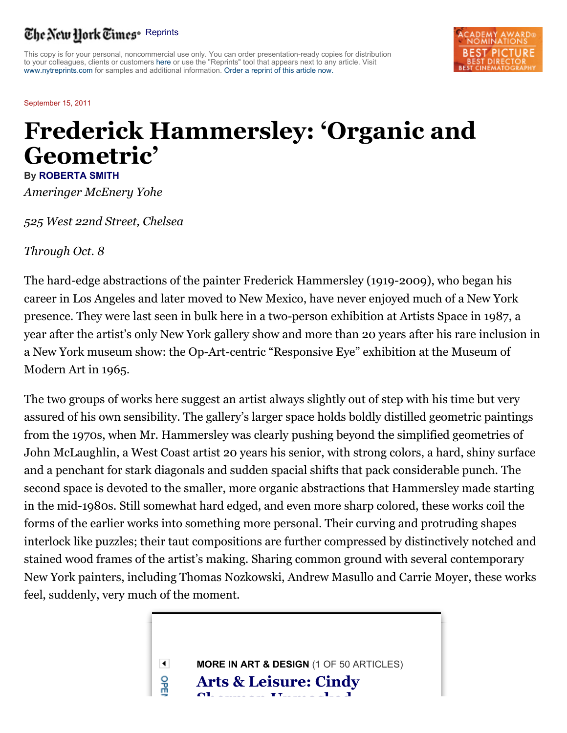## The New Hork Times<sup>®</sup> Reprints

This copy is for your personal, noncommercial use only. You can order presentation-ready copies for distribution to your colleagues, clients or customers here or use the "Reprints" tool that appears next to any article. Visit www.nytreprints.com for samples and additional information. Order a reprint of this article now.

September 15, 2011

## **Frederick Hammersley: 'Organic and Geometric'**

**By ROBERTA SMITH** *Ameringer McEnery Yohe*

*525 West 22nd Street, Chelsea*

*Through Oct. 8*

The hard-edge abstractions of the painter Frederick Hammersley (1919-2009), who began his career in Los Angeles and later moved to New Mexico, have never enjoyed much of a New York presence. They were last seen in bulk here in a two-person exhibition at Artists Space in 1987, a year after the artist's only New York gallery show and more than 20 years after his rare inclusion in a New York museum show: the Op-Art-centric "Responsive Eye" exhibition at the Museum of Modern Art in 1965.

The two groups of works here suggest an artist always slightly out of step with his time but very assured of his own sensibility. The gallery's larger space holds boldly distilled geometric paintings from the 1970s, when Mr. Hammersley was clearly pushing beyond the simplified geometries of John McLaughlin, a West Coast artist 20 years his senior, with strong colors, a hard, shiny surface and a penchant for stark diagonals and sudden spacial shifts that pack considerable punch. The second space is devoted to the smaller, more organic abstractions that Hammersley made starting in the mid-1980s. Still somewhat hard edged, and even more sharp colored, these works coil the forms of the earlier works into something more personal. Their curving and protruding shapes interlock like puzzles; their taut compositions are further compressed by distinctively notched and stained wood frames of the artist's making. Sharing common ground with several contemporary New York painters, including Thomas Nozkowski, Andrew Masullo and Carrie Moyer, these works feel, suddenly, very much of the moment.

> $\blacktriangleleft$ **MORE IN ART & DESIGN** (1 OF 50 ARTICLES) 읇 **Arts & Leisure: Cindy Sherman Unmasked**